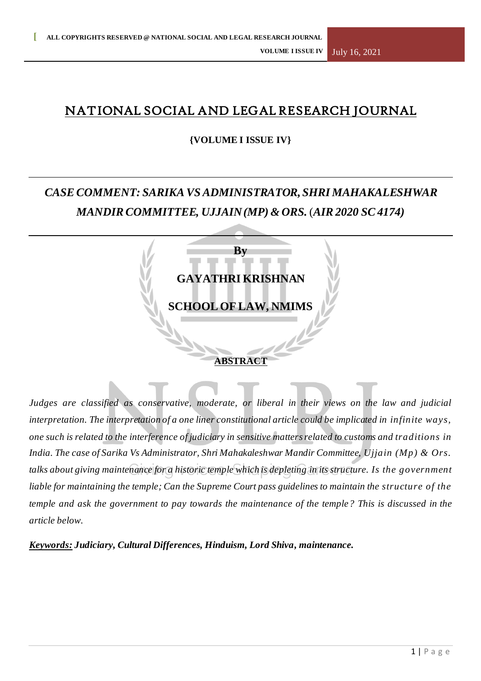## NATIONAL SOCIAL AND LEGAL RESEARCH JOURNAL

## **{VOLUME I ISSUE IV}**

# *CASECOMMENT: SARIKAVSADMINISTRATOR,SHRI MAHAKALESHWAR MANDIRCOMMITTEE, UJJAIN(MP) & ORS.* (*AIR2020 SC4174)*



*Judges are classified as conservative, moderate, or liberal in their views on the law and judicial interpretation. The interpretation of a one liner constitutional article could be implicated in infinite ways, one such is related to the interference of judiciary in sensitive matters related to customs and traditions in India. The case of Sarika Vs Administrator, Shri Mahakaleshwar Mandir Committee, Ujjain (Mp) & Ors. talks about giving maintenance for a historic temple which is depleting in its structure. Is the government liable for maintaining the temple; Can the Supreme Court pass guidelines to maintain the structure of the temple and ask the government to pay towards the maintenance of the temple? This is discussed in the article below.*

*Keywords: Judiciary, Cultural Differences, Hinduism, Lord Shiva, maintenance.*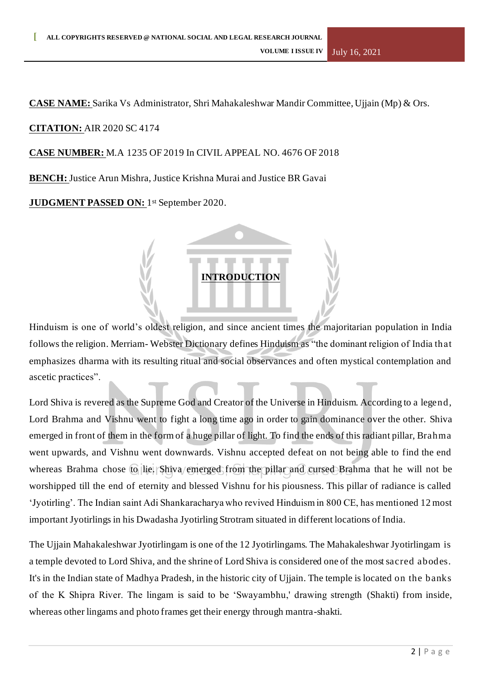**CASE NAME:** Sarika Vs Administrator, Shri Mahakaleshwar Mandir Committee, Ujjain (Mp) & Ors.

## **CITATION:** AIR 2020 SC 4174

#### **CASE NUMBER:** M.A 1235 OF 2019 In CIVIL APPEAL NO. 4676 OF 2018

**BENCH:** Justice Arun Mishra, Justice Krishna Murai and Justice BR Gavai

**JUDGMENT PASSED ON:** 1 st September 2020.

## **INTRODUCTION**

Hinduism is one of world's oldest religion, and since ancient times the majoritarian population in India follows the religion. Merriam- Webster Dictionary defines Hinduism as "the dominant religion of India that emphasizes dharma with its resulting ritual and social observances and often mystical contemplation and ascetic practices".

Lord Shiva is revered as the Supreme God and Creator of the Universe in Hinduism. According to a legend, Lord Brahma and Vishnu went to fight a long time ago in order to gain dominance over the other. Shiva emerged in front of them in the form of a huge pillar of light. To find the ends of this radiant pillar, Brahma went upwards, and Vishnu went downwards. Vishnu accepted defeat on not being able to find the end whereas Brahma chose to lie. Shiva/emerged from the pillar and cursed Brahma that he will not be worshipped till the end of eternity and blessed Vishnu for his piousness. This pillar of radiance is called 'Jyotirling'. The Indian saint Adi Shankaracharya who revived Hinduism in 800 CE, has mentioned 12 most important Jyotirlings in his Dwadasha Jyotirling Strotram situated in different locations of India.

The Ujjain Mahakaleshwar Jyotirlingam is one of the 12 Jyotirlingams. The Mahakaleshwar Jyotirlingam is a temple devoted to Lord Shiva, and the shrine of Lord Shiva is considered one of the most sacred abodes. It's in the Indian state of Madhya Pradesh, in the historic city of Ujjain. The temple is located on the banks of the K Shipra River. The lingam is said to be 'Swayambhu,' drawing strength (Shakti) from inside, whereas other lingams and photo frames get their energy through mantra-shakti.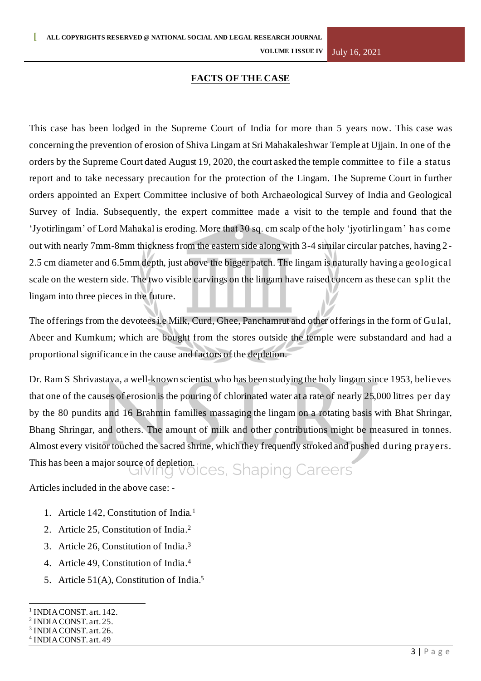**VOLUME I ISSUE IV** July 16, 2021

### **FACTS OF THE CASE**

This case has been lodged in the Supreme Court of India for more than 5 years now. This case was concerning the prevention of erosion of Shiva Lingam at Sri Mahakaleshwar Temple at Ujjain. In one of the orders by the Supreme Court dated August 19, 2020, the court asked the temple committee to f ile a status report and to take necessary precaution for the protection of the Lingam. The Supreme Court in further orders appointed an Expert Committee inclusive of both Archaeological Survey of India and Geological Survey of India. Subsequently, the expert committee made a visit to the temple and found that the 'Jyotirlingam' of Lord Mahakal is eroding. More that 30 sq. cm scalp of the holy 'jyotirlingam' has come out with nearly 7mm-8mm thickness from the eastern side along with 3-4 similar circular patches, having 2 - 2.5 cm diameter and 6.5mm depth, just above the bigger patch. The lingam is naturally having a geological scale on the western side. The two visible carvings on the lingam have raised concern as these can split the lingam into three pieces in the future.

The offerings from the devotees i.e Milk, Curd, Ghee, Panchamrut and other offerings in the form of Gulal, Abeer and Kumkum; which are bought from the stores outside the temple were substandard and had a proportional significance in the cause and factors of the depletion.

Dr. Ram S Shrivastava, a well-known scientist who has been studying the holy lingam since 1953, believes that one of the causes of erosion is the pouring of chlorinated water at a rate of nearly 25,000 litres per day by the 80 pundits and 16 Brahmin families massaging the lingam on a rotating basis with Bhat Shringar, Bhang Shringar, and others. The amount of milk and other contributions might be measured in tonnes. Almost every visitor touched the sacred shrine, which they frequently stroked and pushed during prayers.

This has been a major source of depletion.<br>GIVING VOICES, Shaping Careers

Articles included in the above case: -

- 1. Article 142, Constitution of India. 1
- 2. Article 25, Constitution of India. 2
- 3. Article 26, Constitution of India. 3
- 4. Article 49, Constitution of India. 4
- 5. Article 51(A), Constitution of India. 5

<sup>&</sup>lt;sup>1</sup> INDIA CONST. art. 142.

<sup>&</sup>lt;sup>2</sup> INDIA CONST. art. 25.

<sup>&</sup>lt;sup>3</sup> INDIA CONST. art. 26.

<sup>4</sup> INDIA CONST. art. 49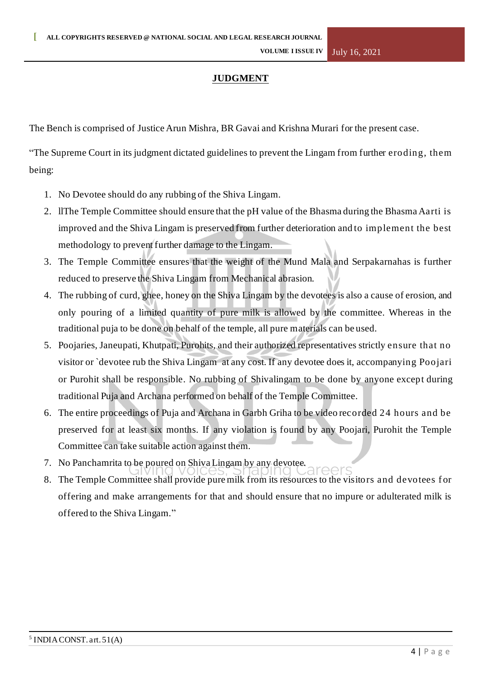## **JUDGMENT**

The Bench is comprised of Justice Arun Mishra, BR Gavai and Krishna Murari for the present case.

"The Supreme Court in its judgment dictated guidelines to prevent the Lingam from further eroding, them being:

- 1. No Devotee should do any rubbing of the Shiva Lingam.
- 2. llThe Temple Committee should ensure that the pH value of the Bhasma during the Bhasma Aarti is improved and the Shiva Lingam is preserved from further deterioration and to implement the best methodology to prevent further damage to the Lingam.
- 3. The Temple Committee ensures that the weight of the Mund Mala and Serpakarnahas is further reduced to preserve the Shiva Lingam from Mechanical abrasion.
- 4. The rubbing of curd, ghee, honey on the Shiva Lingam by the devotees is also a cause of erosion, and only pouring of a limited quantity of pure milk is allowed by the committee. Whereas in the traditional puja to be done on behalf of the temple, all pure materials can be used.
- 5. Poojaries, Janeupati, Khutpati, Purohits, and their authorized representatives strictly ensure that no visitor or `devotee rub the Shiva Lingam at any cost. If any devotee does it, accompanying Poojari or Purohit shall be responsible. No rubbing of Shivalingam to be done by anyone except during traditional Puja and Archana performed on behalf of the Temple Committee.
- 6. The entire proceedings of Puja and Archana in Garbh Griha to be video recorded 24 hours and be preserved for at least six months. If any violation is found by any Poojari, Purohit the Temple Committee can take suitable action against them.
- 7. No Panchamrita to be poured on Shiva Lingam by any devotee.
- 8. The Temple Committee shall provide pure milk from its resources to the visitors and devotees f or offering and make arrangements for that and should ensure that no impure or adulterated milk is offered to the Shiva Lingam."